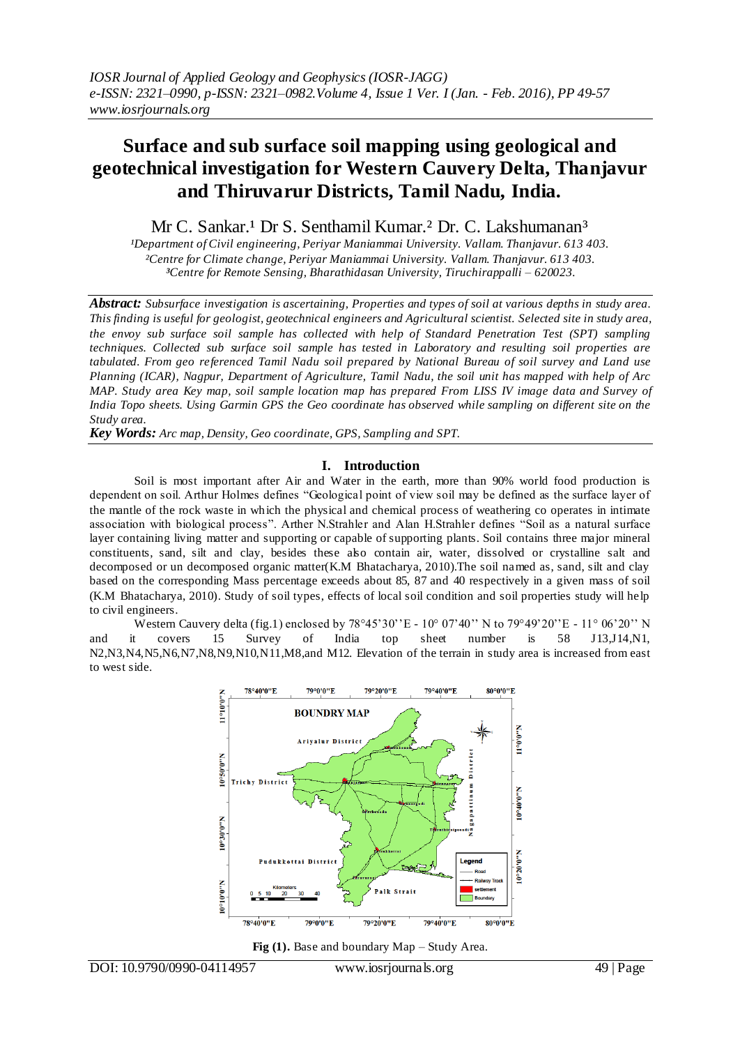# **Surface and sub surface soil mapping using geological and geotechnical investigation for Western Cauvery Delta, Thanjavur and Thiruvarur Districts, Tamil Nadu, India.**

Mr C. Sankar.<sup>1</sup> Dr S. Senthamil Kumar.<sup>2</sup> Dr. C. Lakshumanan<sup>3</sup>

*¹Department of Civil engineering, Periyar Maniammai University. Vallam. Thanjavur. 613 403. ²Centre for Climate change, Periyar Maniammai University. Vallam. Thanjavur. 613 403. ³Centre for Remote Sensing, Bharathidasan University, Tiruchirappalli – 620023.*

*Abstract: Subsurface investigation is ascertaining, Properties and types of soil at various depths in study area. This finding is useful for geologist, geotechnical engineers and Agricultural scientist. Selected site in study area, the envoy sub surface soil sample has collected with help of Standard Penetration Test (SPT) sampling techniques. Collected sub surface soil sample has tested in Laboratory and resulting soil properties are tabulated. From geo referenced Tamil Nadu soil prepared by National Bureau of soil survey and Land use Planning (ICAR), Nagpur, Department of Agriculture, Tamil Nadu, the soil unit has mapped with help of Arc MAP. Study area Key map, soil sample location map has prepared From LISS IV image data and Survey of India Topo sheets. Using Garmin GPS the Geo coordinate has observed while sampling on different site on the Study area.* 

*Key Words: Arc map, Density, Geo coordinate, GPS, Sampling and SPT.*

# **I. Introduction**

Soil is most important after Air and Water in the earth, more than 90% world food production is dependent on soil. Arthur Holmes defines "Geological point of view soil may be defined as the surface layer of the mantle of the rock waste in which the physical and chemical process of weathering co operates in intimate association with biological process". Arther N.Strahler and Alan H.Strahler defines "Soil as a natural surface layer containing living matter and supporting or capable of supporting plants. Soil contains three major mineral constituents, sand, silt and clay, besides these also contain air, water, dissolved or crystalline salt and decomposed or un decomposed organic matter(K.M Bhatacharya, 2010).The soil named as, sand, silt and clay based on the corresponding Mass percentage exceeds about 85, 87 and 40 respectively in a given mass of soil (K.M Bhatacharya, 2010). Study of soil types, effects of local soil condition and soil properties study will help to civil engineers.

Western Cauvery delta (fig.1) enclosed by  $78^{\circ}45'30''E - 10^{\circ}07'40''$  N to  $79^{\circ}49'20''E - 11^{\circ}06'20''$  N and it covers 15 Survey of India top sheet number is 58 J13,J14,N1, N2,N3,N4,N5,N6,N7,N8,N9,N10,N11,M8,and M12. Elevation of the terrain in study area is increased from east to west side.



**Fig (1).** Base and boundary Map – Study Area.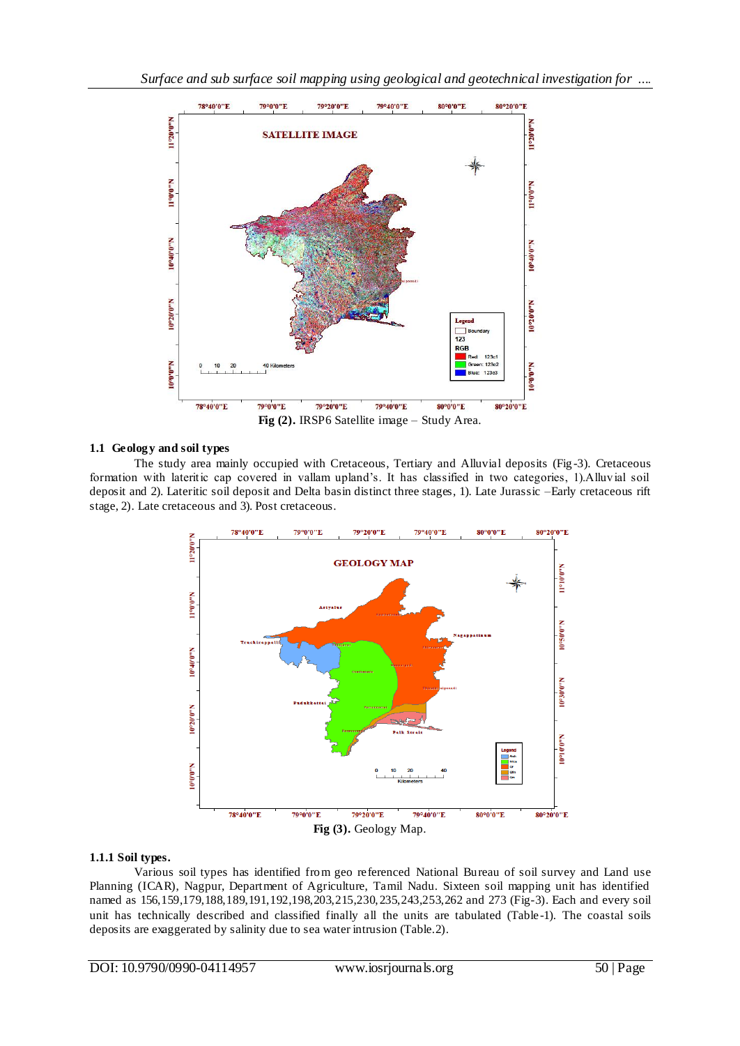

# **1.1 Geology and soil types**

The study area mainly occupied with Cretaceous, Tertiary and Alluvial deposits (Fig -3). Cretaceous formation with lateritic cap covered in vallam upland's. It has classified in two categories, 1).Alluvial soil deposit and 2). Lateritic soil deposit and Delta basin distinct three stages, 1). Late Jurassic –Early cretaceous rift stage, 2). Late cretaceous and 3). Post cretaceous.



### **1.1.1 Soil types.**

Various soil types has identified from geo referenced National Bureau of soil survey and Land use Planning (ICAR), Nagpur, Department of Agriculture, Tamil Nadu. Sixteen soil mapping unit has identified named as 156,159,179,188,189,191,192,198,203,215,230,235,243,253,262 and 273 (Fig-3). Each and every soil unit has technically described and classified finally all the units are tabulated (Table -1). The coastal soils deposits are exaggerated by salinity due to sea water intrusion (Table.2).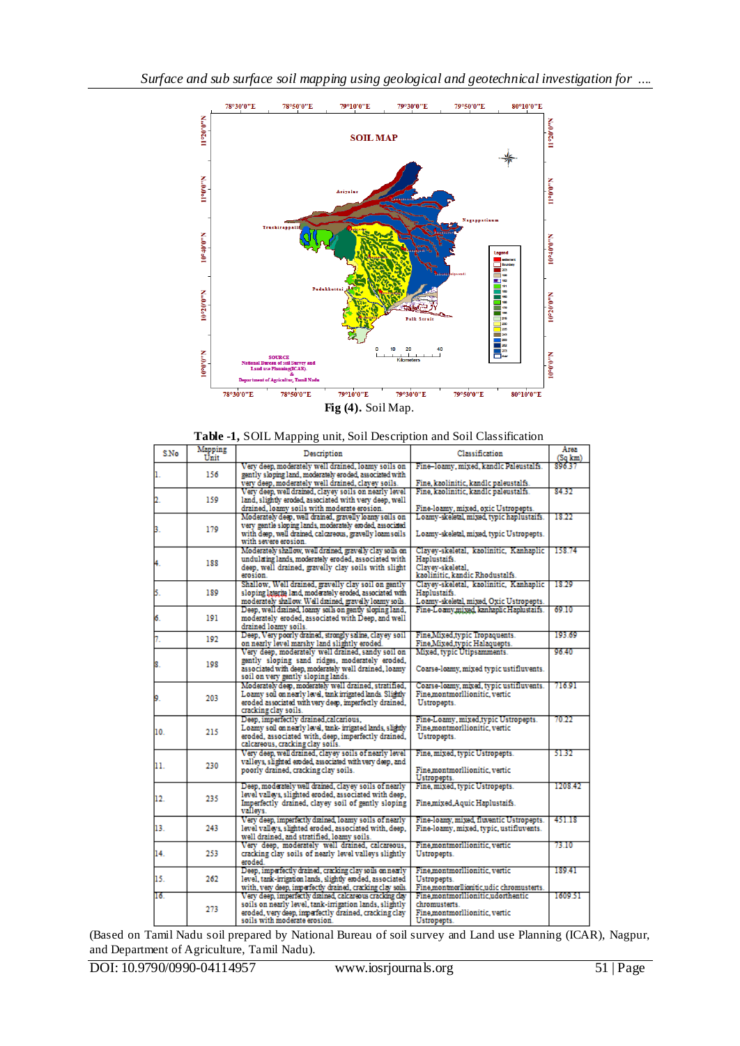

|  | Fig (4). Soil Map. |  |
|--|--------------------|--|
|--|--------------------|--|

|      | <b>Table -1,</b> SOIL Mapping unit, Son Description and Son Classification |                                                                                                                                                                                                        |                                                                                                               |                           |
|------|----------------------------------------------------------------------------|--------------------------------------------------------------------------------------------------------------------------------------------------------------------------------------------------------|---------------------------------------------------------------------------------------------------------------|---------------------------|
| S.No | Mapping<br>Unit                                                            | Description                                                                                                                                                                                            | Classification                                                                                                | Area<br>(Sq km)<br>896.37 |
|      | 156                                                                        | Very deep, moderately well drained, loamy soils on<br>gently sloping land, moderately eroded, associated with<br>very deep, moderately well drained, clavey soils.                                     | Fine-loamy, mixed, kandlc Paleustalfs.<br>Fine, kaolinitic, kandlc paleustalfs.                               |                           |
| 2.   | 159                                                                        | Very deep, well drained, clavey soils on nearly level<br>land, slightly eroded, associated with very deep, well                                                                                        | Fine, kaolinitic, kandlc paleustalfs.                                                                         | 84.32                     |
|      |                                                                            | drained, loamy soils with moderate erosion.                                                                                                                                                            | Fine-loamy, mixed, oxic Ustropepts.                                                                           |                           |
| з.   | 179                                                                        | Moderately deep, well drained, gravelly loamy soils on<br>very gentle sloping lands, moderately eroded, associated<br>with deep, well dramed, calcareous, gravelly loam soils.<br>with severe erosion. | Loamy-skeletal, mixed, typic haplustaifs.<br>Loamy-skeletal, mixed, typic Ustropepts.                         | 18.22                     |
|      | 188                                                                        | Moderately shallow, well drained, gravelly clay soils on<br>undulating lands, moderately eroded, associated with<br>deep, well drained, gravelly clay soils with slight<br>erosion.                    | Clavev-skeletal, kaolinitic, Kanhaplic<br>Haplustaifs.<br>Clavev-skeletal.<br>kaolinitic, kandic Rhodustalfs. | 158.74                    |
| 5.   | 189                                                                        | Shallow, Well drained, gravelly clay soil on gently<br>sloping laterite land, moderately eroded, associated with<br>moderately shallow. Well drained, gravelly loamy soils.                            | Clavev-skeletal, kaolinitic, Kanhaplic<br>Haplustaifs.<br>Loamy-skeletal, mixed, Oxic Ustropepts.             | 18.29                     |
| б.   | 191                                                                        | Deep, well drained, loamy soils on gently sloping land,<br>moderately eroded, associated with Deep, and well<br>drained loamy soils.                                                                   | Fine-Loamy, mixed, kan haplic Haplustaifs.                                                                    | 69.10                     |
| 7.   | 192                                                                        | Deep, Very poorly dramed, strongly saline, clavey soil<br>on nearly level marshy land slightly eroded.                                                                                                 | Fine Mixed typic Tropaquents.<br>Fine Mixed typic Halaquepts.                                                 | 193.69                    |
| 8.   | 198                                                                        | Very deep, moderately well drained, sandy soil on<br>gently sloping sand ridges, moderately eroded,<br>associated with deep, moderately well drained. loamy<br>soil on very gently sloping lands.      | Mixed, typic Utipsamments.<br>Coarse-loamy, mixed typic ustifluvents.                                         | 96.40                     |
| 9.   | 203                                                                        | Moderately deep, moderately well drained, stratified,<br>Loamy soil on nearly level, tank irrigated lands. Slightly<br>eroded associated with very deep, imperfectly drained,<br>cracking clay soils.  | Coarse-loamy, mixed, typic ustifluvents.<br>Fine.montmorllionitic.vertic<br>Ustropepts.                       | 716.91                    |
| 10.  | 215                                                                        | Deep, imperfectly drained, calcarious,<br>Loamy soil on nearly level, tank- irrigated lands, slightly<br>eroded, associated with, deep, imperfectly drained,<br>calcareous, cracking clay soils.       | Fine-Loamy, mixed, typic Ustropepts.<br>Fine montmorllionitic, vertic<br>Ustropepts.                          | 70.22                     |
| 11.  | 230                                                                        | Very deep, well drained, clavey soils of nearly level<br>valleys, slighted eroded, associated with very deep, and<br>poorly drained, cracking clay soils.                                              | Fine, mixed, typic Ustropepts.<br>Fine.montmorllionitic.vertic                                                | 51.32                     |
| 12.  | 235                                                                        | Deep, moderately well drained, clayey soils of nearly<br>level valleys, slighted eroded, associated with deep,<br>Imperfectly drained, clavey soil of gently sloping<br>vallevs.                       | Ustropepts.<br>Fine, mixed, typic Ustropepts.<br>Fine mixed Aquic Haplustaifs.                                | 1208.42                   |
| 13.  | 243                                                                        | Very deep, imperfectly diained, loamy soils of nearly<br>level valleys, slighted eroded, associated with, deep,<br>well drained, and stratified, loamy soils.                                          | Fine-loamy, mixed, fluventic Ustropepts.<br>Fine-loamy, mixed, typic, ustifluvents.                           | 451.18                    |
| 14.  | 253                                                                        | Very deep, moderately well drained, calcareous,<br>cracking clay soils of nearly level valleys slightly<br>eroded.                                                                                     | Fine,montmorllionitic, vertic<br>Ustropepts.                                                                  | 73.10                     |
| 15.  | 262                                                                        | Deep, imperfectly dramed, cracking clay soils on nearly<br>level, tank-irrigation lands, slightly eroded, associated<br>with, very deep, imperfectly drained, cracking clay soils.                     | Fine.montmorllionitic, vertic<br>Ustropepts.<br>Fine montmorllionitic udic chromusterts.                      | 189.41                    |
| 16.  | 273                                                                        | Very deep, imperfectly diained, calcareous cracking clay<br>soils on nearly level, tank-irrigation lands, slightly<br>eroded, very deep, imperfectly drained, cracking clay                            | Fine montmorllionitic udorthentic<br>chromusterts.<br>Fine.montmorllionitic.vertic                            | 1609.51                   |

**Table -1,** SOIL Mapping unit, Soil Description and Soil Classification

(Based on Tamil Nadu soil prepared by National Bureau of soil survey and Land use Planning (ICAR), Nagpur, and Department of Agriculture, Tamil Nadu).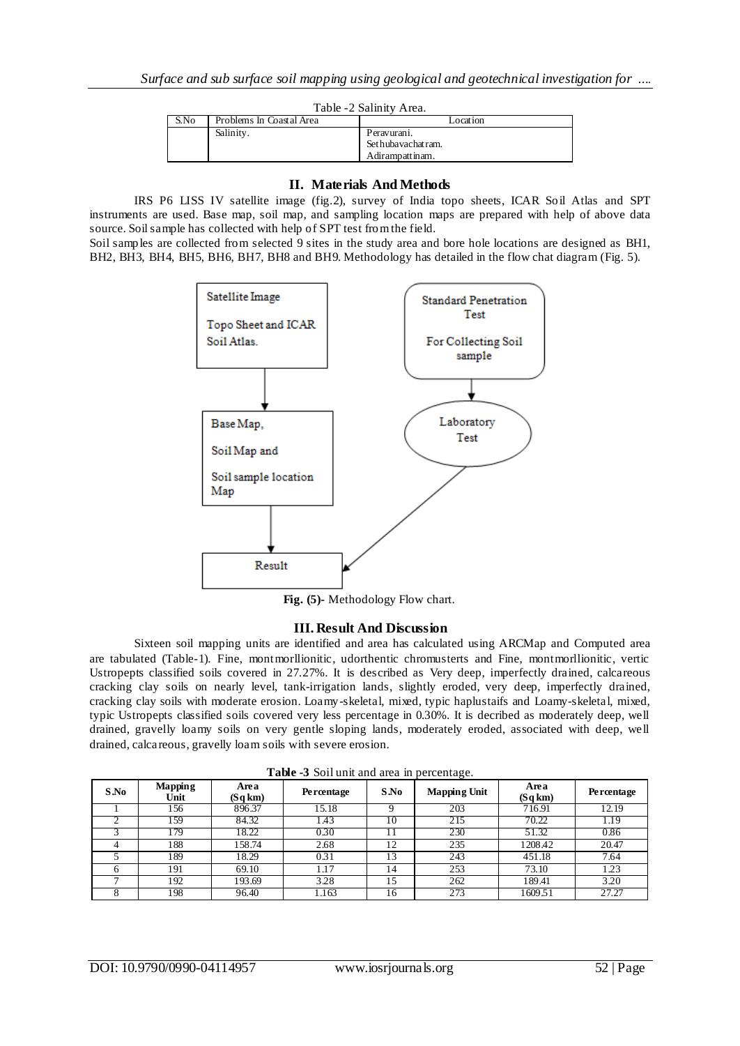| Table -2 Salinity Area. |                          |                                                     |  |  |  |  |  |  |
|-------------------------|--------------------------|-----------------------------------------------------|--|--|--|--|--|--|
| S.No                    | Problems In Coastal Area | Location                                            |  |  |  |  |  |  |
|                         | Salinity.                | Peravuranı.<br>Sethubayachatram.<br>Adirampattinam. |  |  |  |  |  |  |

### **II. Materials And Methods**

IRS P6 LISS IV satellite image (fig.2), survey of India topo sheets, ICAR Soil Atlas and SPT instruments are used. Base map, soil map, and sampling location maps are prepared with help of above data source. Soil sample has collected with help of SPT test from the field.

Soil samples are collected from selected 9 sites in the study area and bore hole locations are designed as BH1, BH2, BH3, BH4, BH5, BH6, BH7, BH8 and BH9. Methodology has detailed in the flow chat diagram (Fig. 5).



**Fig. (5)-** Methodology Flow chart.

### **III. Result And Discussion**

Sixteen soil mapping units are identified and area has calculated using ARCMap and Computed area are tabulated (Table-1). Fine, montmorllionitic, udorthentic chromusterts and Fine, montmorllionitic, vertic Ustropepts classified soils covered in 27.27%. It is described as Very deep, imperfectly drained, calcareous cracking clay soils on nearly level, tank-irrigation lands, slightly eroded, very deep, imperfectly drained, cracking clay soils with moderate erosion. Loamy-skeletal, mixed, typic haplustaifs and Loamy-skeletal, mixed, typic Ustropepts classified soils covered very less percentage in 0.30%. It is decribed as moderately deep, well drained, gravelly loamy soils on very gentle sloping lands, moderately eroded, associated with deep, well drained, calcareous, gravelly loam soils with severe erosion.

|      | <b>Tuble</b> C Bon und and area in percentage. |                |                   |         |                     |                 |                   |  |  |  |  |
|------|------------------------------------------------|----------------|-------------------|---------|---------------------|-----------------|-------------------|--|--|--|--|
| S.No | Mapping<br>Unit                                | Area<br>(Sqkm) | <b>Percentage</b> | $S$ .No | <b>Mapping Unit</b> | Area<br>(Sq km) | <b>Percentage</b> |  |  |  |  |
|      | l 56                                           | 896.37         | 15.18             |         | 203                 | 716.91          | 12.19             |  |  |  |  |
|      | l 59                                           | 84.32          | 1.43              | 10      | 215                 | 70.22           | 1.19              |  |  |  |  |
|      | -79                                            | 18.22          | 0.30              |         | 230                 | 51.32           | 0.86              |  |  |  |  |
| 4    | 188                                            | 158.74         | 2.68              | 12      | 235                 | 1208.42         | 20.47             |  |  |  |  |
|      | 189                                            | 18.29          | 0.31              | 13      | 243                 | 451.18          | 7.64              |  |  |  |  |
| 6    | 191                                            | 69.10          | 1.17              | 14      | 253                 | 73.10           | 1.23              |  |  |  |  |
|      | 192                                            | 193.69         | 3.28              | 15      | 262                 | 189.41          | 3.20              |  |  |  |  |
|      | 198                                            | 96.40          | 1.163             | 16      | 273                 | 1609.51         | 27.27             |  |  |  |  |

**Table -3** Soil unit and area in percentage.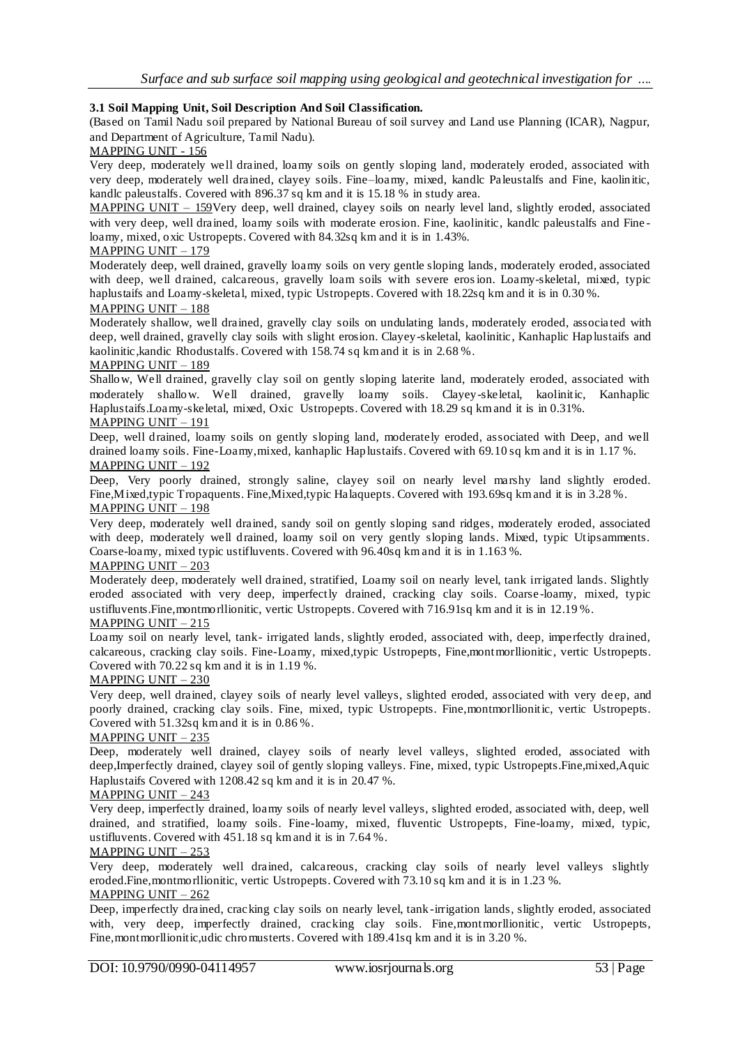### **3.1 Soil Mapping Unit, Soil Description And Soil Classification.**

(Based on Tamil Nadu soil prepared by National Bureau of soil survey and Land use Planning (ICAR), Nagpur, and Department of Agriculture, Tamil Nadu).

MAPPING UNIT - 156

Very deep, moderately we ll drained, loamy soils on gently sloping land, moderately eroded, associated with very deep, moderately well drained, clayey soils. Fine–loamy, mixed, kandlc Paleustalfs and Fine, kaolinitic, kandlc paleustalfs. Covered with 896.37 sq km and it is 15.18 % in study area.

MAPPING UNIT – 159Very deep, well drained, clayey soils on nearly level land, slightly eroded, associated with very deep, well drained, loamy soils with moderate erosion. Fine, kaolinitic, kandlc paleustalfs and Fine loamy, mixed, oxic Ustropepts. Covered with 84.32sq km and it is in 1.43%.

#### MAPPING UNIT – 179

Moderately deep, well drained, gravelly loamy soils on very gentle sloping lands, moderately eroded, associated with deep, well drained, calcareous, gravelly loam soils with severe erosion. Loamy-skeletal, mixed, typic haplustaifs and Loamy-skeletal, mixed, typic Ustropepts. Covered with 18.22sq km and it is in 0.30 %.

### MAPPING UNIT – 188

Moderately shallow, well drained, gravelly clay soils on undulating lands, moderately eroded, associa ted with deep, well drained, gravelly clay soils with slight erosion. Clayey-skeletal, kaolinitic, Kanhaplic Haplustaifs and kaolinitic,kandic Rhodustalfs. Covered with 158.74 sq km and it is in 2.68 %.

#### MAPPING UNIT – 189

Shallow, Well drained, gravelly clay soil on gently sloping laterite land, moderately eroded, associated with moderately shallow. Well drained, gravelly loamy soils. Clayey-skeletal, kaolinitic, Kanhaplic Haplustaifs.Loamy-skeletal, mixed, Oxic Ustropepts. Covered with 18.29 sq km and it is in 0.31%. MAPPING UNIT – 191

Deep, well drained, loamy soils on gently sloping land, moderately eroded, associated with Deep, and well drained loamy soils. Fine-Loamy,mixed, kanhaplic Haplustaifs. Covered with 69.10 sq km and it is in 1.17 %. MAPPING UNIT – 192

Deep, Very poorly drained, strongly saline, clayey soil on nearly level marshy land slightly eroded. Fine, Mixed,typic Tropaquents. Fine, Mixed,typic Halaquepts. Covered with 193.69sq km and it is in 3.28 %. MAPPING UNIT – 198

Very deep, moderately well drained, sandy soil on gently sloping sand ridges, moderately eroded, associated with deep, moderately well drained, loamy soil on very gently sloping lands. Mixed, typic Utipsamments. Coarse-loamy, mixed typic ustifluvents. Covered with 96.40sq km and it is in 1.163 %.

### MAPPING UNIT – 203

Moderately deep, moderately well drained, stratified, Loamy soil on nearly level, tank irrigated lands. Slightly eroded associated with very deep, imperfectly drained, cracking clay soils. Coarse -loamy, mixed, typic ustifluvents.Fine,montmorllionitic, vertic Ustropepts. Covered with 716.91sq km and it is in 12.19 %.

# MAPPING UNIT – 215

Loamy soil on nearly level, tank- irrigated lands, slightly eroded, associated with, deep, imperfectly drained, calcareous, cracking clay soils. Fine-Loamy, mixed,typic Ustropepts, Fine,montmorllionitic, vertic Ustropepts. Covered with 70.22 sq km and it is in 1.19 %.

### MAPPING UNIT – 230

Very deep, well drained, clayey soils of nearly level valleys, slighted eroded, associated with very de ep, and poorly drained, cracking clay soils. Fine, mixed, typic Ustropepts. Fine,montmorllionitic, vertic Ustropepts. Covered with 51.32sq km and it is in 0.86 %.

# MAPPING UNIT – 235

Deep, moderately well drained, clayey soils of nearly level valleys, slighted eroded, associated with deep,Imperfectly drained, clayey soil of gently sloping valleys. Fine, mixed, typic Ustropepts.Fine,mixed,Aquic Haplustaifs Covered with 1208.42 sq km and it is in 20.47 %.

#### MAPPING UNIT – 243

Very deep, imperfectly drained, loamy soils of nearly level valleys, slighted eroded, associated with, deep, well drained, and stratified, loamy soils. Fine-loamy, mixed, fluventic Ustropepts, Fine-loamy, mixed, typic, ustifluvents. Covered with 451.18 sq km and it is in 7.64 %.

# $MAPPING UNIT - 253$

Very deep, moderately well drained, calcareous, cracking clay soils of nearly level valleys slightly eroded.Fine, montmorllionitic, vertic Ustropepts. Covered with 73.10 sq km and it is in 1.23 %. MAPPING UNIT – 262

Deep, imperfectly drained, cracking clay soils on nearly level, tank-irrigation lands, slightly eroded, associated with, very deep, imperfectly drained, cracking clay soils. Fine, montmorllionitic, vertic Ustropepts, Fine, montmorllionitic, udic chromusterts. Covered with 189.41sq km and it is in 3.20 %.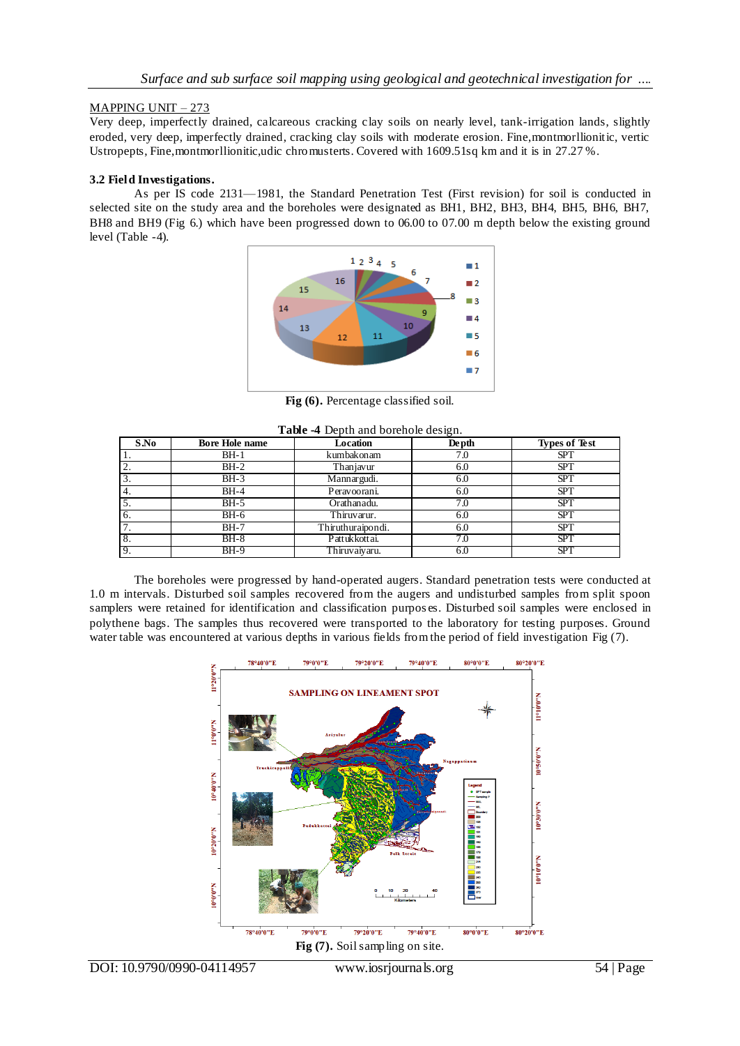# MAPPING UNIT – 273

Very deep, imperfectly drained, calcareous cracking clay soils on nearly level, tank-irrigation lands, slightly eroded, very deep, imperfectly drained, cracking clay soils with moderate erosion. Fine,montmorllionitic, vertic Ustropepts, Fine, montmorllionitic,udic chromusterts. Covered with 1609.51sq km and it is in 27.27 %.

# **3.2 Field Investigations.**

As per IS code 2131—1981, the Standard Penetration Test (First revision) for soil is conducted in selected site on the study area and the boreholes were designated as BH1, BH2, BH3, BH4, BH5, BH6, BH7, BH8 and BH9 (Fig 6.) which have been progressed down to 06.00 to 07.00 m depth below the existing ground level (Table -4).



**Fig (6).** Percentage classified soil.

|      | Table -4 Depth and borehole design. |                   |               |                      |  |  |  |  |  |  |
|------|-------------------------------------|-------------------|---------------|----------------------|--|--|--|--|--|--|
| S.No | <b>Bore Hole name</b>               | <b>Location</b>   | <b>De pth</b> | <b>Types of Test</b> |  |  |  |  |  |  |
|      | $BH-1$                              | kumbakonam        | 7.0           | <b>SPT</b>           |  |  |  |  |  |  |
|      | $BH-2$                              | Thanjavur         | 6.0           | <b>SPT</b>           |  |  |  |  |  |  |
|      | $BH-3$                              | Mannargudi.       | 6.0           | <b>SPT</b>           |  |  |  |  |  |  |
| 4.   | $BH-4$                              | Peravoorani.      | 6.0           | <b>SPT</b>           |  |  |  |  |  |  |
|      | $BH-5$                              | Orathanadu.       | 7.0           | <b>SPT</b>           |  |  |  |  |  |  |
| -6.  | $BH-6$                              | Thiruvarur.       | 6.0           | <b>SPT</b>           |  |  |  |  |  |  |
|      | $BH-7$                              | Thiruthuraipondi. | 6.0           | <b>SPT</b>           |  |  |  |  |  |  |
| 8.   | $BH-8$                              | Pattuk kottai.    | ' ()          | <b>SPT</b>           |  |  |  |  |  |  |
| - 9. | $BH-9$                              | Thiruvaiyaru.     | 6.0           | <b>SPT</b>           |  |  |  |  |  |  |

The boreholes were progressed by hand-operated augers. Standard penetration tests were conducted at 1.0 m intervals. Disturbed soil samples recovered from the augers and undisturbed samples from split spoon samplers were retained for identification and classification purpos es. Disturbed soil samples were enclosed in polythene bags. The samples thus recovered were transported to the laboratory for testing purposes. Ground water table was encountered at various depths in various fields from the period of field investigation Fig  $(7)$ .

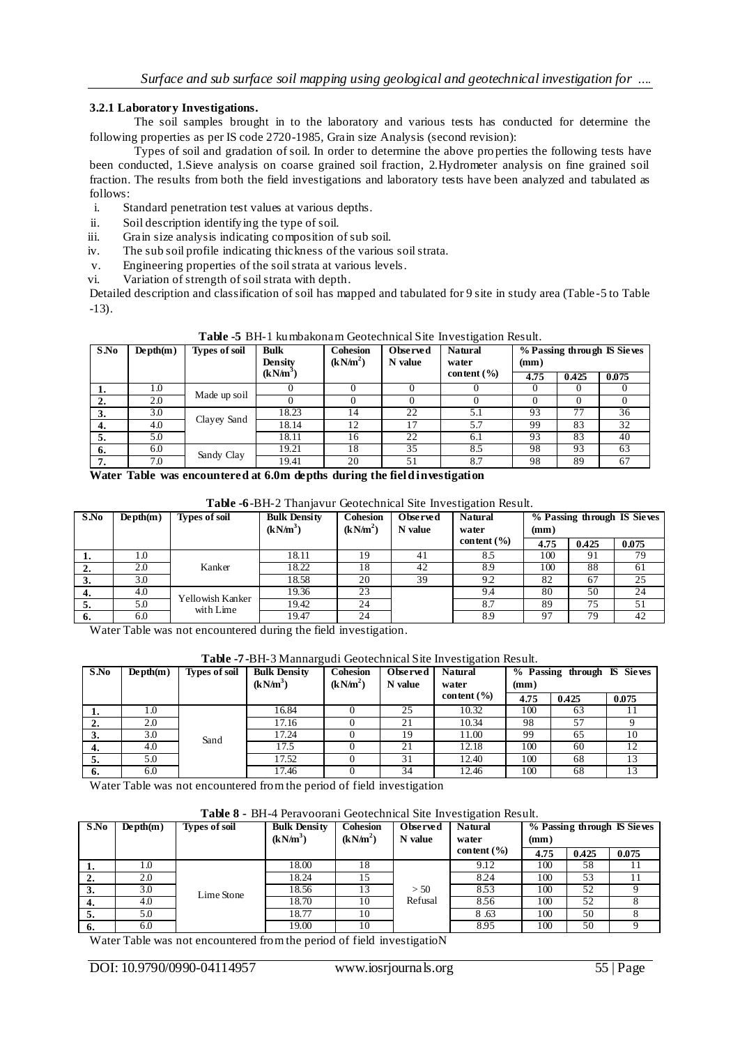### **3.2.1 Laboratory Investigations.**

The soil samples brought in to the laboratory and various tests has conducted for determine the following properties as per IS code 2720-1985, Grain size Analysis (second revision):

Types of soil and gradation of soil. In order to determine the above properties the following tests have been conducted, 1.Sieve analysis on coarse grained soil fraction, 2.Hydrometer analysis on fine grained soil fraction. The results from both the field investigations and laboratory tests have been analyzed and tabulated as follows:

- i. Standard penetration test values at various depths.
- ii. Soil description identifying the type of soil.
- iii. Grain size analysis indicating composition of sub soil.
- iv. The sub soil profile indicating thickness of the various soil strata.
- v. Engineering properties of the soil strata at various levels.
- vi. Variation of strength of soil strata with depth.

Detailed description and classification of soil has mapped and tabulated for 9 site in study area (Table -5 to Table -13).

| $S$ .No | $Depth(m)$ | <b>Types of soil</b> | <b>Bulk</b><br><b>Density</b><br>$(kN/m^3)$ | <b>Cohesion</b><br>(kN/m <sup>2</sup> ) | Observed<br>N value | <b>Natural</b><br>water<br>content $(\% )$ | (mm) |       | % Passing through IS Sieves |
|---------|------------|----------------------|---------------------------------------------|-----------------------------------------|---------------------|--------------------------------------------|------|-------|-----------------------------|
|         |            |                      |                                             |                                         |                     |                                            | 4.75 | 0.425 | 0.075                       |
|         | 1.0        | Made up soil         |                                             |                                         |                     |                                            |      | O     |                             |
| 2.      | 2.0        |                      |                                             |                                         |                     |                                            |      |       |                             |
|         | 3.0        | Clayey Sand          | 18.23                                       | 14                                      | 22                  | 5.1                                        | 93   | 77    | 36                          |
| 4.      | 4.0        |                      | 18.14                                       | 12                                      | 7                   | 5.7                                        | 99   | 83    | 32                          |
| 5.      | 5.0        |                      | 18.11                                       | 16                                      | 22                  | 6.1                                        | 93   | 83    | 40                          |
| 6.      | 6.0        | Sandy Clay           | 19.21                                       | 18                                      | 35                  | 8.5                                        | 98   | 93    | 63                          |
| 7.      | 7.0        |                      | 19.41                                       | 20                                      | 51                  | 8.7                                        | 98   | 89    | 67                          |

**Table -5** BH-1 kumbakonam Geotechnical Site Investigation Result.

**Water Table was encountered at 6.0m depths during the field investigation**

| S.No | $Depth(m)$ | <b>Types of soil</b> | <b>Bulk Density</b><br>(kN/m <sup>3</sup> ) | <b>Cohesion</b><br>(kN/m <sup>2</sup> ) | Observed<br>N value | <b>Natural</b><br>water | % Passing through IS Sieves<br>(mm) |       |       |
|------|------------|----------------------|---------------------------------------------|-----------------------------------------|---------------------|-------------------------|-------------------------------------|-------|-------|
|      |            |                      |                                             |                                         |                     | content $(\% )$         | 4.75                                | 0.425 | 0.075 |
| ı.   | 1.0        |                      | 18.11                                       | 19                                      | 41                  | 8.5                     | 100                                 | 91    | 79    |
| ۷.   | 2.0        | Kanker               | 18.22                                       | 18                                      | 42                  | 8.9                     | 100                                 | 88    | 61    |
| 3.   | 3.0        |                      | 18.58                                       | 20                                      | 39                  | 9.2                     | 82                                  | 67    | 25    |
| 4.   | 4.0        | Yellowish Kanker     | 19.36                                       | 23                                      |                     | 9.4                     | 80                                  | 50    | 24    |
| 5.   | 5.0        | with Lime            | 19.42                                       | 24                                      |                     | 8.7                     | 89                                  | 75    | 51    |
| 6.   | 6.0        |                      | 19.47                                       | 24                                      |                     | 8.9                     | 97                                  | 79    | 42    |

Water Table was not encountered during the field investigation.

| Table -7-BH-3 Mannargudi Geotechnical Site Investigation Result. |  |
|------------------------------------------------------------------|--|
|------------------------------------------------------------------|--|

| $S$ .No | $Depth(m)$ | <b>Types of soil</b> | <b>Bulk Density</b><br>(kN/m <sup>3</sup> ) | <b>Cohesion</b><br>(kN/m <sup>2</sup> ) | Observed<br>N value | <b>Natural</b><br>water | (mm) | % Passing through IS Sieves |       |
|---------|------------|----------------------|---------------------------------------------|-----------------------------------------|---------------------|-------------------------|------|-----------------------------|-------|
|         |            |                      |                                             |                                         |                     | content $(\% )$         | 4.75 | 0.425                       | 0.075 |
| 1.      | 0.1        |                      | 16.84                                       |                                         | 25                  | 10.32                   | 100  | 63                          | . .   |
| 2.      | 2.0        |                      | 17.16                                       |                                         | 21                  | 10.34                   | 98   | 57                          |       |
| 3.      | 3.0        | Sand                 | 17.24                                       |                                         | 19                  | 11.00                   | 99   | 65                          | 10    |
| 4.      | 4.0        |                      | 17.5                                        |                                         | 21                  | 12.18                   | 100  | 60                          | 12    |
| 5.      | 5.0        |                      | 17.52                                       |                                         | 31                  | 12.40                   | 100  | 68                          | 13    |
| 6.      | 6.0        |                      | 17.46                                       |                                         | 34                  | 12.46                   | 100  | 68                          | 13    |

Water Table was not encountered from the period of field investigation

**Table 8 -** BH-4 Peravoorani Geotechnical Site Investigation Result.

| S.No         | $Depth(m)$ | Types of soil | <b>Bulk Density</b>  | <b>Cohesion</b>      | Observed | <b>Natural</b>  | % Passing through IS Sieves |       |       |
|--------------|------------|---------------|----------------------|----------------------|----------|-----------------|-----------------------------|-------|-------|
|              |            |               | (kN/m <sup>3</sup> ) | (kN/m <sup>2</sup> ) | N value  | water           | (mm)                        |       |       |
|              |            |               |                      |                      |          | content $(\% )$ | 4.75                        | 0.425 | 0.075 |
| . .          | 1.0        |               | 18.00                | 18                   |          | 9.12            | 100                         | 58    |       |
| 4.           | 2.0        |               | 18.24                | 15                   |          | 8.24            | 100                         | 53    |       |
| $\mathbf{J}$ | 3.0        | Lime Stone    | 18.56                | 13                   | > 50     | 8.53            | 100                         | 52    |       |
| 4.           | 4.0        |               | 18.70                | 10                   | Refusal  | 8.56            | 100                         | 52    |       |
| э.           | 5.0        |               | 18.77                | 10                   |          | 8.63            | 100                         | 50    |       |
| 6.           | 6.0        |               | 19.00                | 10                   |          | 8.95            | 100                         | 50    |       |

Water Table was not encountered from the period of field investigatioN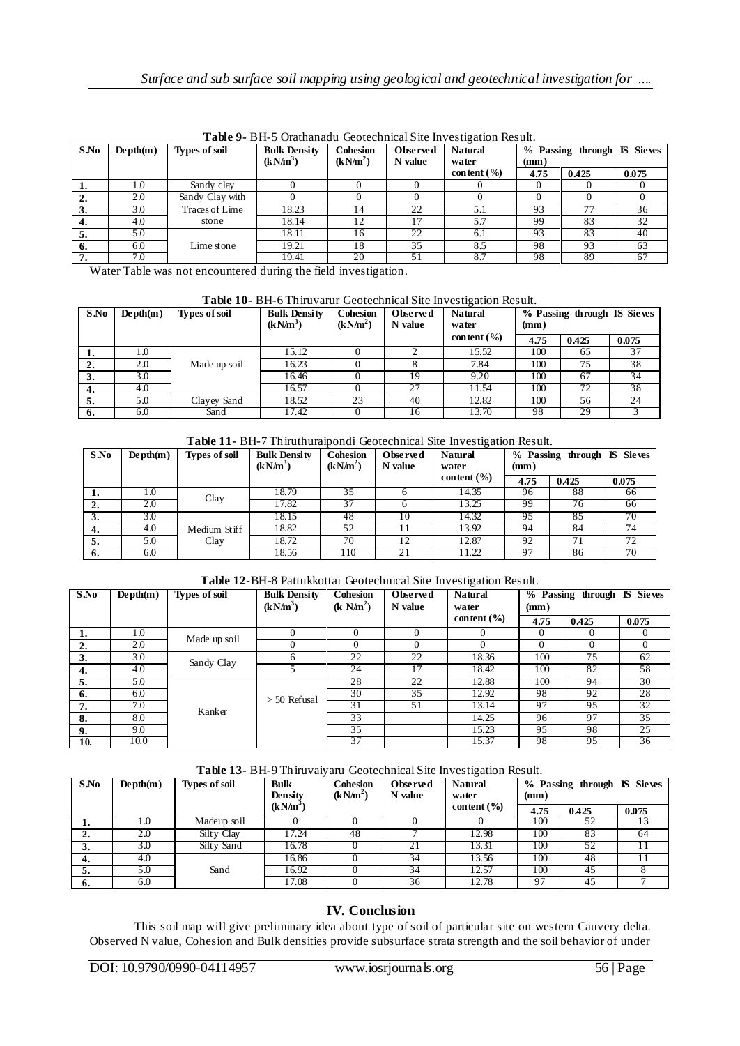| $S$ .No | $Depth(m)$ | <b>Types of soil</b> | <b>Bulk Density</b><br>$(kN/m^3)$ | <b>Cohesion</b><br>(kN/m <sup>2</sup> ) | <b>Observed</b><br>N value | <b>Natural</b><br>water | (mm) | % Passing through IS Sieves |       |
|---------|------------|----------------------|-----------------------------------|-----------------------------------------|----------------------------|-------------------------|------|-----------------------------|-------|
|         |            |                      |                                   |                                         |                            | content $(\% )$         | 4.75 | 0.425                       | 0.075 |
| 1.      | 1.0        | Sandy clay           |                                   |                                         |                            |                         |      |                             |       |
| 2.      | 2.0        | Sandy Clay with      |                                   |                                         |                            |                         |      |                             |       |
| 3.      | 3.0        | Traces of Lime       | 18.23                             | 14                                      | 22                         |                         | 93   |                             | 36    |
| 4.      | 4.0        | stone                | 18.14                             | 12                                      |                            | 5.7                     | 99   | 83                          | 32    |
| 5.      | 5.0        |                      | 18.11                             | 16                                      | 22                         | 6.1                     | 93   | 83                          | 40    |
| 6.      | 6.0        | Lime stone           | 19.21                             | 18                                      | 35                         | 8.5                     | 98   | 93                          | 63    |
| 7.      | 7.0        |                      | 19.41                             | 20                                      | 51                         | 8.7                     | 98   | 89                          | 67    |

**Table 9-** BH-5 Orathanadu Geotechnical Site Investigation Result.

Water Table was not encountered during the field investigation.

|  | Table 10- BH-6 Thiruvarur Geotechnical Site Investigation Result. |
|--|-------------------------------------------------------------------|
|  |                                                                   |

| S.No | $Depth(m)$ | <b>Types of soil</b> | <b>Bulk Density</b><br>$(kN/m^3)$ | Cohesion<br>(kN/m <sup>2</sup> ) | Observed<br>N value | <b>Natural</b><br>water | % Passing through IS Sieves<br>(mm) |       |       |
|------|------------|----------------------|-----------------------------------|----------------------------------|---------------------|-------------------------|-------------------------------------|-------|-------|
|      |            |                      |                                   |                                  |                     | content $(\% )$         | 4.75                                | 0.425 | 0.075 |
| 1.   | 1.0        |                      | 15.12                             |                                  |                     | 15.52                   | 100                                 | 65    | 37    |
| ۷.   | 2.0        | Made up soil         | 16.23                             |                                  |                     | 7.84                    | 100                                 | 75    | 38    |
| J.   | 3.0        |                      | 16.46                             |                                  |                     | 9.20                    | 100                                 | 67    | 34    |
| 4.   | 4.0        |                      | 16.57                             |                                  | 27                  | 11.54                   | 100                                 | 72    | 38    |
| э.   | 5.0        | Clavey Sand          | 18.52                             | 23                               | 40                  | 12.82                   | 100                                 | 56    | 24    |
| 6.   | 6.0        | Sand                 | 17.42                             |                                  | 10.                 | 13.70                   | 98                                  | 29    |       |



| $S$ .No | $Depth(m)$ | Types of soil        | <b>Bulk Density</b><br>$(kN/m^3)$ | <b>Cohesion</b><br>(kN/m <sup>2</sup> ) | Observed<br>N value | <b>Natural</b><br>water | % Passing through IS Sieves<br>(mm) |       |       |
|---------|------------|----------------------|-----------------------------------|-----------------------------------------|---------------------|-------------------------|-------------------------------------|-------|-------|
|         |            |                      |                                   |                                         |                     | content $(\% )$         | 4.75                                | 0.425 | 0.075 |
| .,      | 1.0        | Clay                 | 18.79                             | 35                                      |                     | 14.35                   | 96                                  | 88    | 66    |
| 2.      | 2.0        |                      | 17.82                             |                                         |                     | 13.25                   | 99                                  | 76    | 66    |
| 3.      | 3.0        | Medium Stiff<br>Clay | 18.15                             | 48                                      | 10                  | 14.32                   | 95                                  | 85    | 70    |
| 4.      | 4.0        |                      | 18.82                             | 52                                      |                     | 13.92                   | 94                                  | 84    | 74    |
| э.      | 5.0        |                      | 18.72                             | 70                                      | 12                  | 12.87                   | 92                                  | 71    | 72    |
| 6.      | 6.0        |                      | 18.56                             | 110                                     | 21                  | 11.22                   | 97                                  | 86    | 70    |

### **Table 12-**BH-8 Pattukkottai Geotechnical Site Investigation Result.

| $S$ .No | $Depth(m)$ | <b>Types of soil</b> | <b>Bulk Density</b><br>$(kN/m^3)$ | <b>Cohesion</b><br>(k N/m <sup>2</sup> ) | Observed<br>N value | <b>Natural</b><br>water | % Passing through IS Sieves<br>(mm) |       |       |
|---------|------------|----------------------|-----------------------------------|------------------------------------------|---------------------|-------------------------|-------------------------------------|-------|-------|
|         |            |                      |                                   |                                          |                     | content $(\% )$         | 4.75                                | 0.425 | 0.075 |
| 1.      | 1.0        | Made up soil         | $\Omega$                          | $\Omega$                                 |                     |                         | $\theta$                            |       |       |
| 2.      | 2.0        |                      |                                   | 0                                        |                     | $\Omega$                | 0                                   |       |       |
| 3.      | 3.0        | Sandy Clay           | 6                                 | 22                                       | 22                  | 18.36                   | 100                                 | 75    | 62    |
| 4.      | 4.0        |                      |                                   | 24                                       | 17                  | 18.42                   | 100                                 | 82    | 58    |
| 5.      | 5.0        |                      | $> 50$ Refusal                    | 28                                       | 22                  | 12.88                   | 100                                 | 94    | 30    |
| 6.      | 6.0        |                      |                                   | 30                                       | 35                  | 12.92                   | 98                                  | 92    | 28    |
| 7.      | 7.0        | Kanker               |                                   | 31                                       | 51                  | 13.14                   | 97                                  | 95    | 32    |
| 8.      | 8.0        |                      |                                   | 33                                       |                     | 14.25                   | 96                                  | 97    | 35    |
| 9.      | 9.0        |                      |                                   | 35                                       |                     | 15.23                   | 95                                  | 98    | 25    |
| 10.     | 10.0       |                      |                                   | 37                                       |                     | 15.37                   | 98                                  | 95    | 36    |

# **Table 13-** BH-9 Thiruvaiyaru Geotechnical Site Investigation Result.

| $S$ .No | $Depth(m)$ | <b>Types of soil</b> | <b>Bulk</b><br><b>Density</b> | <b>Cohesion</b><br>(kN/m <sup>2</sup> ) | Observed<br>N value | <b>Natural</b><br>water | (mm) | % Passing through IS Sieves |       |  |
|---------|------------|----------------------|-------------------------------|-----------------------------------------|---------------------|-------------------------|------|-----------------------------|-------|--|
|         |            |                      | $(kN/m^3)$                    |                                         |                     | content $(\% )$         | 4.75 | 0.425                       | 0.075 |  |
| . .     | 0.1        | Madeup soil          |                               |                                         |                     |                         | 100  |                             |       |  |
| ٠.      | 2.0        | Silty Clay           | 17.24                         | 48                                      |                     | 12.98                   | 100  | 83                          | 64    |  |
| J.      | 3.0        | Silty Sand           | 16.78                         |                                         |                     | 13.31                   | 100  | 52                          |       |  |
| 4.      | 4.0        |                      | 16.86                         |                                         | 34                  | 13.56                   | 100  | 48                          |       |  |
| э.      | 5.0        | Sand                 | 16.92                         |                                         | 34                  | 12.57                   | 100  | 45                          |       |  |
| 6.      | 6.0        |                      | 17.08                         |                                         | 36                  | 12.78                   | -97  | 45                          |       |  |

# **IV. Conclusion**

This soil map will give preliminary idea about type of soil of particular site on western Cauvery delta. Observed N value, Cohesion and Bulk densities provide subsurface strata strength and the soil behavior of under